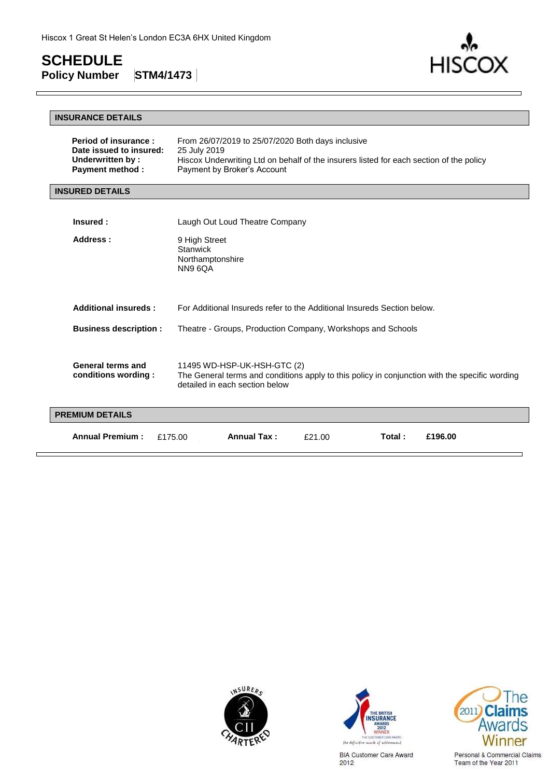$\mathsf{r}$ 

**HISCOX** 

### **INSURANCE DETAILS**

| Period of insurance:<br>Date issued to insured:<br>Underwritten by:<br><b>Payment method:</b> | From 26/07/2019 to 25/07/2020 Both days inclusive<br>25 July 2019<br>Hiscox Underwriting Ltd on behalf of the insurers listed for each section of the policy<br>Payment by Broker's Account |
|-----------------------------------------------------------------------------------------------|---------------------------------------------------------------------------------------------------------------------------------------------------------------------------------------------|
| <b>INSURED DETAILS</b>                                                                        |                                                                                                                                                                                             |
| Insured:                                                                                      | Laugh Out Loud Theatre Company                                                                                                                                                              |

| Address:                                 | 9 High Street<br>Stanwick<br>Northamptonshire<br>NN9 6QA                                                                                                        |
|------------------------------------------|-----------------------------------------------------------------------------------------------------------------------------------------------------------------|
| Additional insureds:                     | For Additional Insureds refer to the Additional Insureds Section below.                                                                                         |
| <b>Business description:</b>             | Theatre - Groups, Production Company, Workshops and Schools                                                                                                     |
| General terms and<br>conditions wording: | 11495 WD-HSP-UK-HSH-GTC (2)<br>The General terms and conditions apply to this policy in conjunction with the specific wording<br>detailed in each section below |
| <b>PREMIUM DETAILS</b>                   |                                                                                                                                                                 |
| <b>Annual Premium:</b>                   | <b>Annual Tax:</b><br>£196.00<br>Total:<br>£175.00<br>£21.00                                                                                                    |





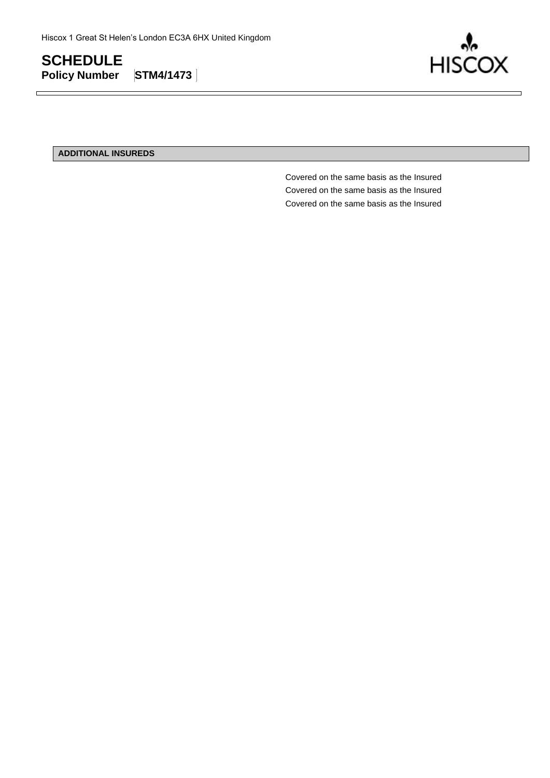

### **ADDITIONAL INSUREDS**

Covered on the same basis as the Insured Covered on the same basis as the Insured Covered on the same basis as the Insured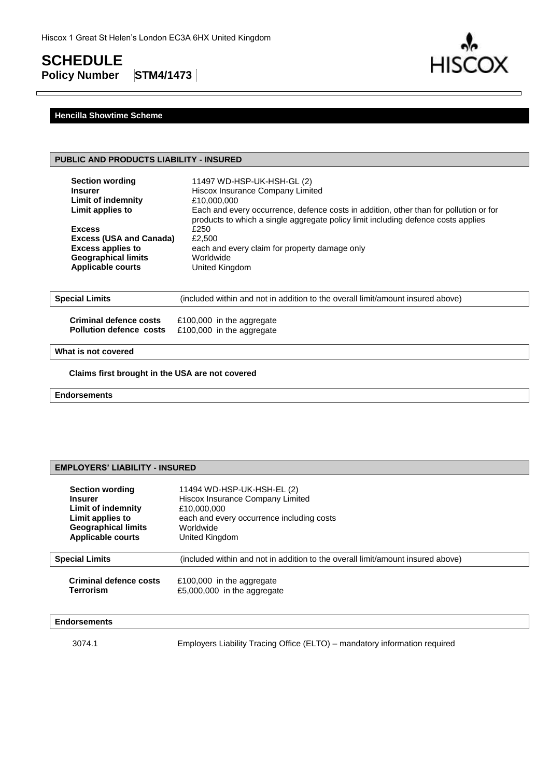# **SCHEDULE**

**Policy Number STM4/1473**



### **Hencilla Showtime Scheme**

### **PUBLIC AND PRODUCTS LIABILITY - INSURED**

| <b>Section wording</b>                                                                                                                | 11497 WD-HSP-UK-HSH-GL (2)                                                                                                                                                          |
|---------------------------------------------------------------------------------------------------------------------------------------|-------------------------------------------------------------------------------------------------------------------------------------------------------------------------------------|
| <b>Insurer</b>                                                                                                                        | Hiscox Insurance Company Limited                                                                                                                                                    |
| Limit of indemnity                                                                                                                    | £10,000,000                                                                                                                                                                         |
| Limit applies to                                                                                                                      | Each and every occurrence, defence costs in addition, other than for pollution or for                                                                                               |
| <b>Excess</b><br><b>Excess (USA and Canada)</b><br><b>Excess applies to</b><br><b>Geographical limits</b><br><b>Applicable courts</b> | products to which a single aggregate policy limit including defence costs applies<br>£250<br>£2,500<br>each and every claim for property damage only<br>Worldwide<br>United Kingdom |
| <b>Special Limits</b>                                                                                                                 | (included within and not in addition to the overall limit/amount insured above)                                                                                                     |
| Criminal defence costs                                                                                                                | £100,000 in the aggregate                                                                                                                                                           |
| <b>Pollution defence costs</b>                                                                                                        | £100,000 in the aggregate                                                                                                                                                           |

### **What is not covered**

**Claims first brought in the USA are not covered**

**Endorsements**

### **EMPLOYERS' LIABILITY - INSURED**

| <b>Section wording</b>     | 11494 WD-HSP-UK-HSH-EL (2)                                                      |
|----------------------------|---------------------------------------------------------------------------------|
| <b>Insurer</b>             | Hiscox Insurance Company Limited                                                |
| Limit of indemnity         | £10,000,000                                                                     |
| Limit applies to           | each and every occurrence including costs                                       |
| <b>Geographical limits</b> | Worldwide                                                                       |
| <b>Applicable courts</b>   | United Kingdom                                                                  |
| <b>Special Limits</b>      | (included within and not in addition to the overall limit/amount insured above) |
| Criminal defence costs     | £100,000 in the aggregate                                                       |
| Terrorism                  | £5,000,000 in the aggregate                                                     |

### **Endorsements**

3074.1 Employers Liability Tracing Office (ELTO) – mandatory information required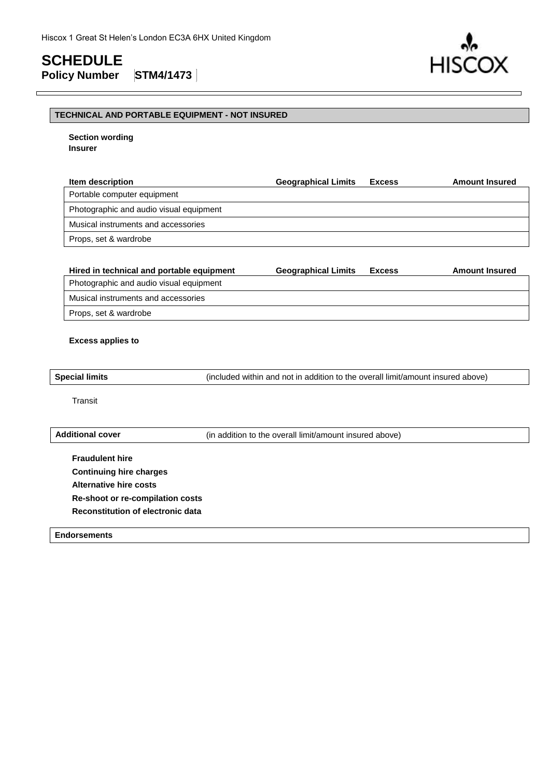**HIS** 

### **TECHNICAL AND PORTABLE EQUIPMENT - NOT INSURED**

**Section wording Insurer**

| <b>Item description</b>                 | <b>Geographical Limits</b> | <b>Excess</b> | <b>Amount Insured</b> |
|-----------------------------------------|----------------------------|---------------|-----------------------|
| Portable computer equipment             |                            |               |                       |
| Photographic and audio visual equipment |                            |               |                       |
| Musical instruments and accessories     |                            |               |                       |
| Props, set & wardrobe                   |                            |               |                       |

| Hired in technical and portable equipment | <b>Geographical Limits</b> | <b>Excess</b> | <b>Amount Insured</b> |
|-------------------------------------------|----------------------------|---------------|-----------------------|
| Photographic and audio visual equipment   |                            |               |                       |
| Musical instruments and accessories       |                            |               |                       |
| Props, set & wardrobe                     |                            |               |                       |
|                                           |                            |               |                       |

### **Excess applies to**

**Special limits** (included within and not in addition to the overall limit/amount insured above)

Transit

**Additional cover** (in addition to the overall limit/amount insured above)

**Fraudulent hire Continuing hire charges Alternative hire costs Re-shoot or re-compilation costs Reconstitution of electronic data**

**Endorsements**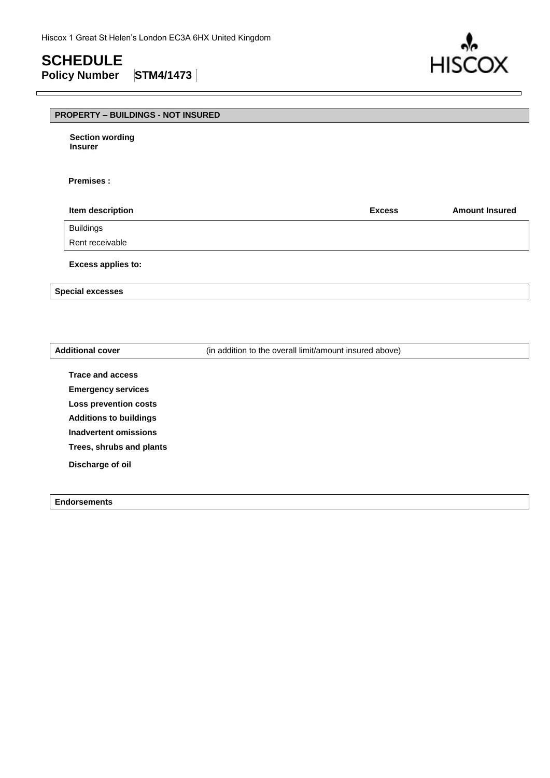**HIS** 

### **PROPERTY – BUILDINGS - NOT INSURED**

**Section wording Insurer**

### **Premises :**

| <b>Item description</b> | <b>Excess</b> | <b>Amount Insured</b> |
|-------------------------|---------------|-----------------------|
| Buildings               |               |                       |
| Rent receivable         |               |                       |

**Excess applies to:** 

**Special excesses**

Additional cover **Additional cover** (in addition to the overall limit/amount insured above)

**Trace and access Emergency services Loss prevention costs Additions to buildings Inadvertent omissions Trees, shrubs and plants Discharge of oil**

**Endorsements**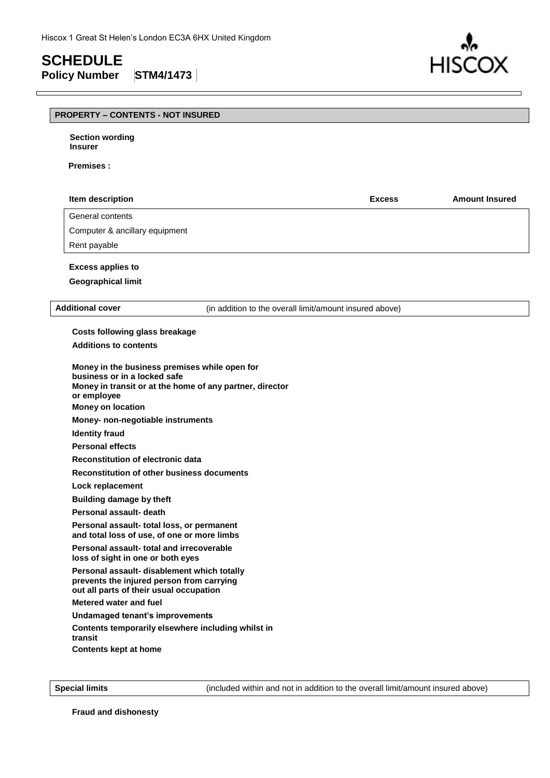# **SCHEDULE**

 $\mathsf{r}$ 

**Policy Number STM4/1473**



## **PROPERTY – CONTENTS - NOT INSURED**

| <b>Section wording</b><br><b>Insurer</b>                                                                                                                      |                                                          |                                                         |                       |
|---------------------------------------------------------------------------------------------------------------------------------------------------------------|----------------------------------------------------------|---------------------------------------------------------|-----------------------|
| <b>Premises:</b>                                                                                                                                              |                                                          |                                                         |                       |
| Item description                                                                                                                                              |                                                          | <b>Excess</b>                                           | <b>Amount Insured</b> |
| General contents                                                                                                                                              |                                                          |                                                         |                       |
| Computer & ancillary equipment                                                                                                                                |                                                          |                                                         |                       |
| Rent payable                                                                                                                                                  |                                                          |                                                         |                       |
| <b>Excess applies to</b>                                                                                                                                      |                                                          |                                                         |                       |
| <b>Geographical limit</b>                                                                                                                                     |                                                          |                                                         |                       |
|                                                                                                                                                               |                                                          |                                                         |                       |
| <b>Additional cover</b>                                                                                                                                       |                                                          | (in addition to the overall limit/amount insured above) |                       |
| <b>Costs following glass breakage</b>                                                                                                                         |                                                          |                                                         |                       |
| <b>Additions to contents</b>                                                                                                                                  |                                                          |                                                         |                       |
| Money in the business premises while open for<br>business or in a locked safe<br>or employee<br><b>Money on location</b><br>Money- non-negotiable instruments | Money in transit or at the home of any partner, director |                                                         |                       |
| <b>Identity fraud</b>                                                                                                                                         |                                                          |                                                         |                       |
| <b>Personal effects</b>                                                                                                                                       |                                                          |                                                         |                       |
| Reconstitution of electronic data                                                                                                                             |                                                          |                                                         |                       |
|                                                                                                                                                               | <b>Reconstitution of other business documents</b>        |                                                         |                       |
| Lock replacement                                                                                                                                              |                                                          |                                                         |                       |
|                                                                                                                                                               | <b>Building damage by theft</b>                          |                                                         |                       |
| Personal assault- death                                                                                                                                       |                                                          |                                                         |                       |
| Personal assault- total loss, or permanent<br>and total loss of use, of one or more limbs                                                                     |                                                          |                                                         |                       |
| Personal assault-total and irrecoverable<br>loss of sight in one or both eyes                                                                                 |                                                          |                                                         |                       |
| Personal assault- disablement which totally<br>prevents the injured person from carrying<br>out all parts of their usual occupation                           |                                                          |                                                         |                       |
| Metered water and fuel                                                                                                                                        |                                                          |                                                         |                       |
| Undamaged tenant's improvements                                                                                                                               |                                                          |                                                         |                       |
| transit<br><b>Contents kept at home</b>                                                                                                                       | Contents temporarily elsewhere including whilst in       |                                                         |                       |

**Special limits** (included within and not in addition to the overall limit/amount insured above)

**Fraud and dishonesty**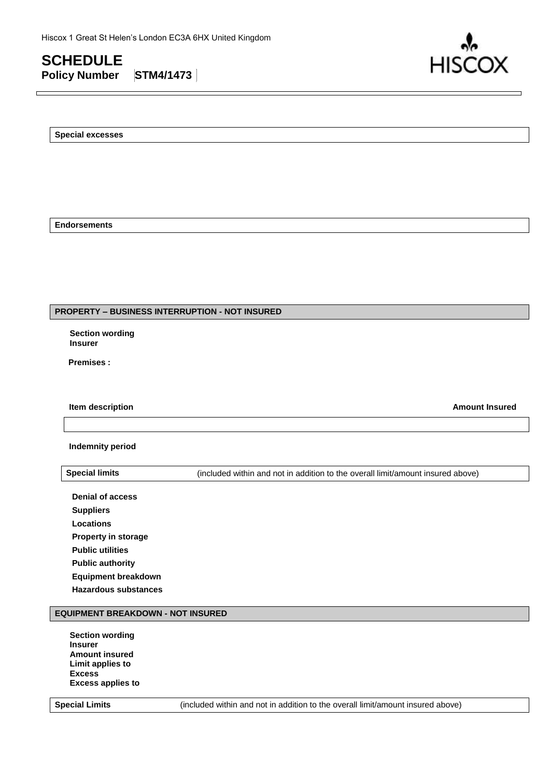

**Special excesses**

**Endorsements**

### **PROPERTY – BUSINESS INTERRUPTION - NOT INSURED**

**Section wording Insurer**

**Premises :**

**Item description Amount Insured**

**Indemnity period**

**Special limits** (included within and not in addition to the overall limit/amount insured above)

**Denial of access Suppliers Locations Property in storage Public utilities Public authority Equipment breakdown Hazardous substances**

### **EQUIPMENT BREAKDOWN - NOT INSURED**

**Section wording Insurer Amount insured Limit applies to Excess Excess applies to**

**Special Limits** (included within and not in addition to the overall limit/amount insured above)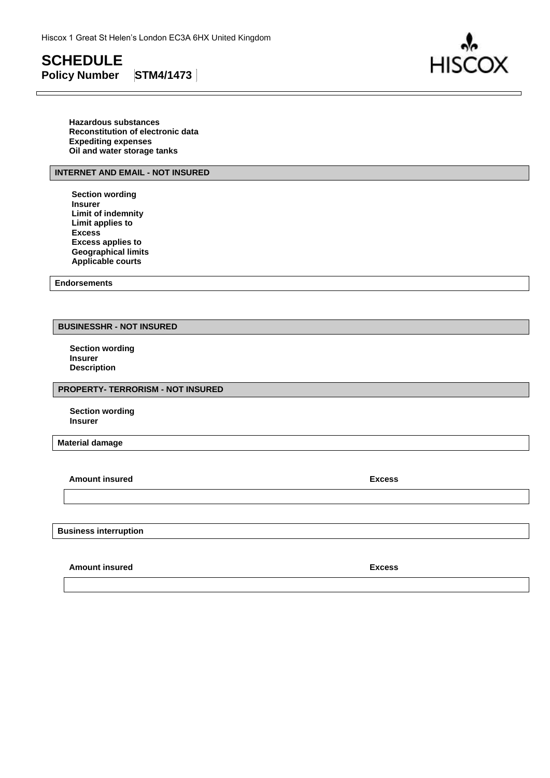

**Hazardous substances Reconstitution of electronic data Expediting expenses Oil and water storage tanks**

### **INTERNET AND EMAIL - NOT INSURED**

**Section wording Insurer Limit of indemnity Limit applies to Excess Excess applies to Geographical limits Applicable courts** 

**Endorsements**

### **BUSINESSHR - NOT INSURED**

**Section wording Insurer Description**

### **PROPERTY- TERRORISM - NOT INSURED**

**Section wording Insurer**

**Material damage**

**Amount insured Excess** 

**Business interruption**

**Amount insured Excess**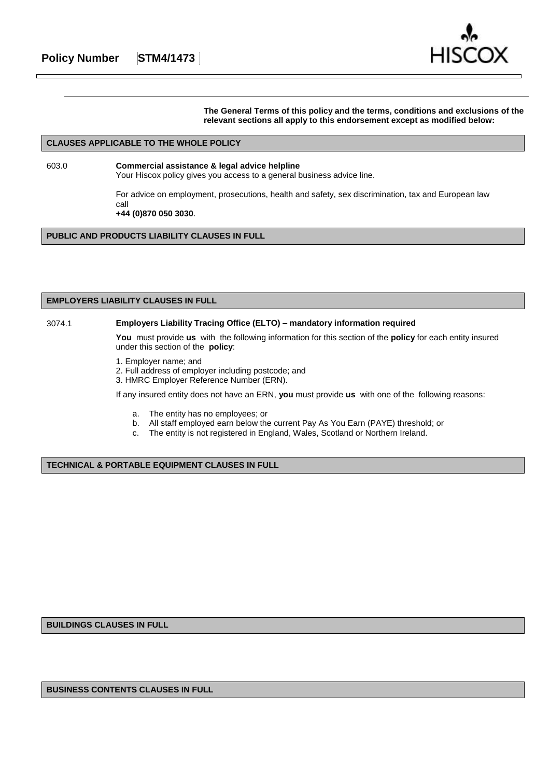

**The General Terms of this policy and the terms, conditions and exclusions of the relevant sections all apply to this endorsement except as modified below:**

### **CLAUSES APPLICABLE TO THE WHOLE POLICY**

603.0 **Commercial assistance & legal advice helpline** Your Hiscox policy gives you access to a general business advice line.

For advice on employment, prosecutions, health and safety, sex discrimination, tax and European law call **+44 (0)870 050 3030**.

**PUBLIC AND PRODUCTS LIABILITY CLAUSES IN FULL**

### **EMPLOYERS LIABILITY CLAUSES IN FULL**

### 3074.1 **Employers Liability Tracing Office (ELTO) – mandatory information required**

**You** must provide **us** with the following information for this section of the **policy** for each entity insured under this section of the **policy**:

- 1. Employer name; and
- 2. Full address of employer including postcode; and
- 3. HMRC Employer Reference Number (ERN).

If any insured entity does not have an ERN, **you** must provide **us** with one of the following reasons:

- a. The entity has no employees; or
- b. All staff employed earn below the current Pay As You Earn (PAYE) threshold; or
- c. The entity is not registered in England, Wales, Scotland or Northern Ireland.

**TECHNICAL & PORTABLE EQUIPMENT CLAUSES IN FULL**

**BUILDINGS CLAUSES IN FULL**

**BUSINESS CONTENTS CLAUSES IN FULL**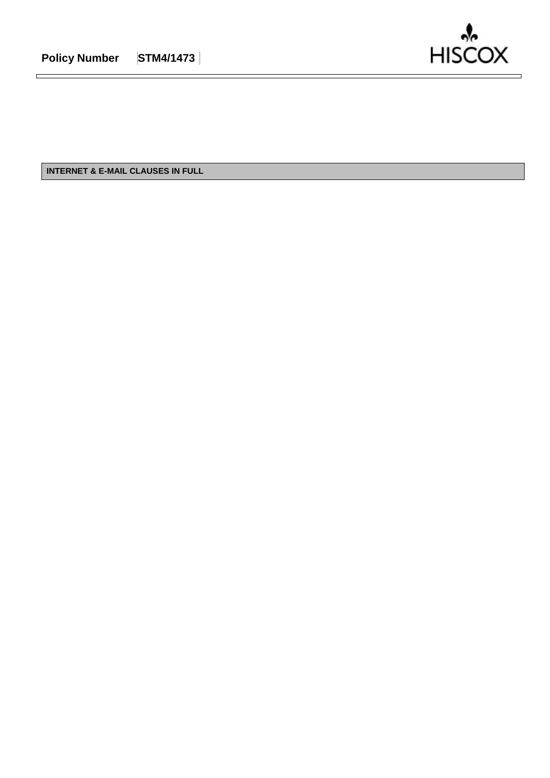$\blacksquare$ 



**INTERNET & E-MAIL CLAUSES IN FULL**